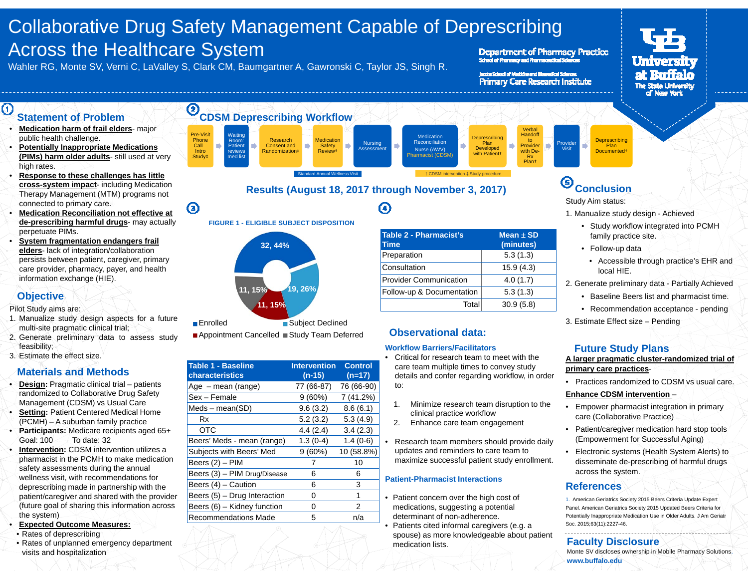# Collaborative Drug Safety Management Capable of Deprescribing Across the Healthcare System

Wahler RG, Monte SV, Verni C, LaValley S, Clark CM, Baumgartner A, Gawronski C, Taylor JS, Singh R.

 $\bm{\bm{\mathrm{o}}}$ 

#### Department of Pharmacy Practice School of Pharmacy and Pharmaceutical Scie

baste School of Medicine and Blueredical Sciences **Primary Care Research Institute** 



#### $\odot$ **Statement of Problem**

- • **Medication harm of frail elders**- major public health challenge.
- • **Potentially Inappropriate Medications (PIMs) harm older adults**- still used at very high rates.
- • **Response to these challenges has little cross-system impact**- including Medication Therapy Management (MTM) programs not connected to primary care.
- • **Medication Reconciliation not effective at de-prescribing harmful drugs**- may actually perpetuate PIMs.
- • **System fragmentation endangers frail elders**- lack of integration/collaboration persists between patient, caregiver, primary care provider, pharmacy, payer, and health information exchange (HIE).

### **Objective**

•

•

Pilot Study aims are:

- 1. Manualize study design aspects for <sup>a</sup> future multi-site pragmatic clinical trial;
- 2. Generate preliminary data to assess study feasibility;
- 3. Estimate the effect size.

# **Materials and Methods**

- • **Design:** Pragmatic clinical trial – patients randomized to Collaborative Drug Safety Management (CDSM) vs Usual Care
- •**Setting: Patient Centered Medical Home** (PCMH) – A suburban family practice
- • **Participants:** Medicare recipients aged 65+ Goal: 100 To date: 32
- **Intervention:** CDSM intervention utilizes a pharmacist in the PCMH to make medication safety assessments during the annual wellness visit, with recommendations for deprescribing made in partnership with the patient/caregiver and shared with the provider (future goal of sharing this information across the system)
- **Expected Outcome Measures:**
- Rates of deprescribing
- Rates of unplanned emergency department visits and hospitalization



◉

# **Results (August 18, 2017 through November 3, 2017)**





■ Appointment Cancelled ■ Study Team Deferred **Observational data:** 

| <b>Table 1 - Baseline</b><br><b>characteristics</b> | <b>Intervention</b><br>$(n-15)$ | <b>Control</b><br>$(n=17)$ |
|-----------------------------------------------------|---------------------------------|----------------------------|
| Age – mean (range)                                  | 77 (66-87)                      | 76 (66-90)                 |
| Sex - Female                                        | $9(60\%)$                       | 7 (41.2%)                  |
| $Meds - mean(SD)$                                   | 9.6(3.2)                        | 8.6(6.1)                   |
| Rx                                                  | 5.2(3.2)                        | 5.3(4.9)                   |
| OTC                                                 | 4.4(2.4)                        | 3.4(2.3)                   |
| Beers' Meds - mean (range)                          | $1.3(0-4)$                      | $1.4(0-6)$                 |
| Subjects with Beers' Med                            | 9(60%)                          | 10 (58.8%)                 |
| Beers (2) – PIM                                     | 7                               | 10                         |
| Beers (3) - PIM Drug/Disease                        | 6                               | 6                          |
| Beers (4) - Caution                                 | 6                               | 3                          |
| Beers (5) - Drug Interaction                        | 0                               | 1                          |
| Beers (6) – Kidney function                         | 0                               | 2                          |
| <b>Recommendations Made</b>                         | 5                               | n/a                        |
|                                                     |                                 |                            |

| <b>Table 2 - Pharmacist's</b><br><b>Time</b> | $Mean \pm SD$<br>(minutes) |
|----------------------------------------------|----------------------------|
| Preparation                                  | 5.3(1.3)                   |
| Consultation                                 | 15.9(4.3)                  |
| <b>Provider Communication</b>                | 4.0(1.7)                   |
| Follow-up & Documentation                    | 5.3(1.3)                   |
| Total                                        | 30.9(5.8)                  |

#### **Workflow Barriers/Facilitators**

- Critical for research team to meet with the care team multiple times to convey study details and confer regarding workflow, in order to:
- 1. Minimize research team disruption to the clinical practice workflow
- 2. Enhance care team engagement

• Research team members should provide daily updates and reminders to care team to maximize successful patient study enrollment.

#### **Patient-Pharmacist Interactions**

- Patient concern over the high cost of medications, suggesting a potential determinant of non-adherence.
- • Patients cited informal caregivers (e.g. a spouse) as more knowledgeable about patient medication lists.

# **Conclusion**

Study Aim status:

- 1. Manualize study design Achieved
	- Study workflow integrated into PCMH family practice site.
	- Follow-up data

**Deprescribing** Plan Documented†

- Accessible through practice's EHR and local HIE.
- 2. Generate preliminary data Partially Achieved
	- Baseline Beers list and pharmacist time.
	- Recommendation acceptance pending
- 3. Estimate Effect size Pending

# **Future Study Plans**

#### **A larger pragmatic cluster-randomized trial of primary care practices**-

• Practices randomized to CDSM vs usual care.

### **Enhance CDSM intervention**  –

- • Empower pharmacist integration in primary care (Collaborative Practice)
- Patient/caregiver medication hard stop tools (Empowerment for Successful Aging)
- Electronic systems (Health System Alerts) to disseminate de-prescribing of harmful drugs across the system.

# **References**

1. American Geriatrics Society 2015 Beers Criteria Update Expert Panel. American Geriatrics Society 2015 Updated Beers Criteria for Potentially Inappropriate Medication Use in Older Adults. J Am Geriatr Soc. 2015;63(11):2227-46.

### **Faculty Disclosure**

Monte SV discloses ownership in Mobile Pharmacy Solutions. **www.buffalo.edu**